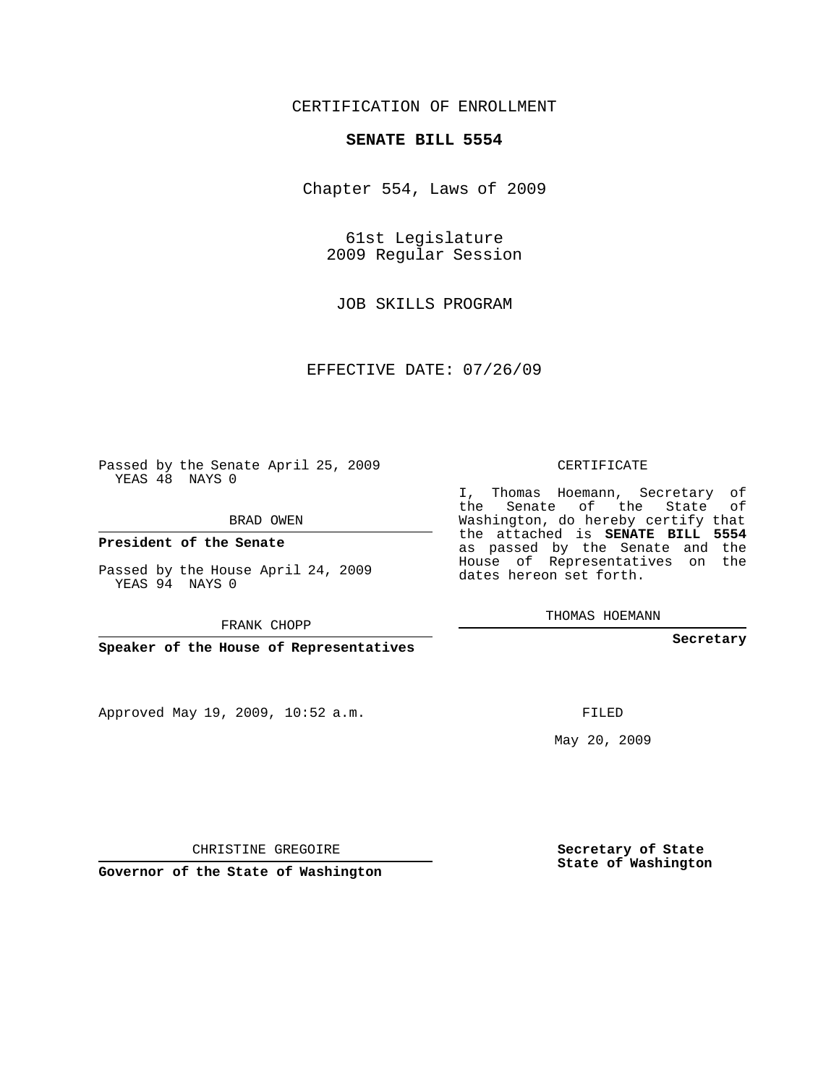## CERTIFICATION OF ENROLLMENT

#### **SENATE BILL 5554**

Chapter 554, Laws of 2009

61st Legislature 2009 Regular Session

JOB SKILLS PROGRAM

EFFECTIVE DATE: 07/26/09

Passed by the Senate April 25, 2009 YEAS 48 NAYS 0

BRAD OWEN

**President of the Senate**

Passed by the House April 24, 2009 YEAS 94 NAYS 0

FRANK CHOPP

**Speaker of the House of Representatives**

Approved May 19, 2009, 10:52 a.m.

CERTIFICATE

I, Thomas Hoemann, Secretary of the Senate of the State of Washington, do hereby certify that the attached is **SENATE BILL 5554** as passed by the Senate and the House of Representatives on the dates hereon set forth.

THOMAS HOEMANN

**Secretary**

FILED

May 20, 2009

**Secretary of State State of Washington**

CHRISTINE GREGOIRE

**Governor of the State of Washington**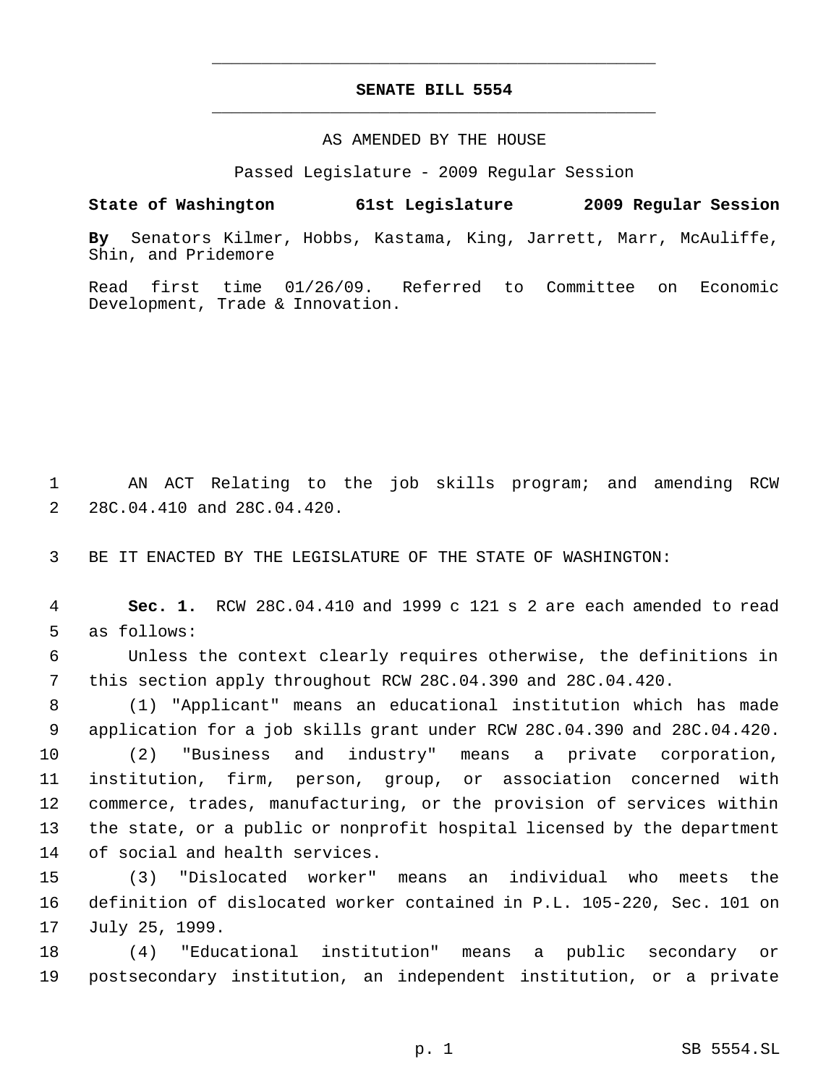# **SENATE BILL 5554** \_\_\_\_\_\_\_\_\_\_\_\_\_\_\_\_\_\_\_\_\_\_\_\_\_\_\_\_\_\_\_\_\_\_\_\_\_\_\_\_\_\_\_\_\_

\_\_\_\_\_\_\_\_\_\_\_\_\_\_\_\_\_\_\_\_\_\_\_\_\_\_\_\_\_\_\_\_\_\_\_\_\_\_\_\_\_\_\_\_\_

### AS AMENDED BY THE HOUSE

Passed Legislature - 2009 Regular Session

### **State of Washington 61st Legislature 2009 Regular Session**

**By** Senators Kilmer, Hobbs, Kastama, King, Jarrett, Marr, McAuliffe, Shin, and Pridemore

Read first time 01/26/09. Referred to Committee on Economic Development, Trade & Innovation.

 AN ACT Relating to the job skills program; and amending RCW 28C.04.410 and 28C.04.420.

BE IT ENACTED BY THE LEGISLATURE OF THE STATE OF WASHINGTON:

 **Sec. 1.** RCW 28C.04.410 and 1999 c 121 s 2 are each amended to read as follows:

 Unless the context clearly requires otherwise, the definitions in this section apply throughout RCW 28C.04.390 and 28C.04.420.

 (1) "Applicant" means an educational institution which has made application for a job skills grant under RCW 28C.04.390 and 28C.04.420.

 (2) "Business and industry" means a private corporation, institution, firm, person, group, or association concerned with commerce, trades, manufacturing, or the provision of services within the state, or a public or nonprofit hospital licensed by the department of social and health services.

 (3) "Dislocated worker" means an individual who meets the definition of dislocated worker contained in P.L. 105-220, Sec. 101 on July 25, 1999.

 (4) "Educational institution" means a public secondary or postsecondary institution, an independent institution, or a private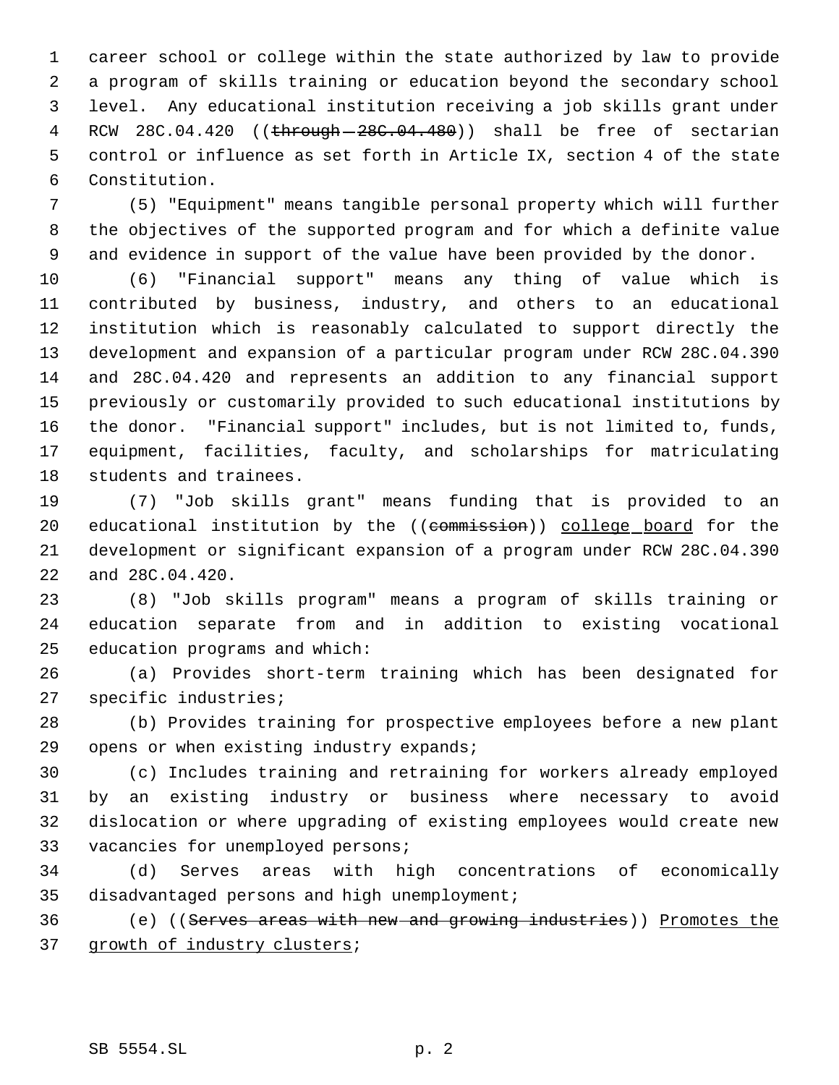career school or college within the state authorized by law to provide a program of skills training or education beyond the secondary school level. Any educational institution receiving a job skills grant under 4 RCW 28C.04.420 ((through - 28C.04.480)) shall be free of sectarian control or influence as set forth in Article IX, section 4 of the state Constitution.

 (5) "Equipment" means tangible personal property which will further the objectives of the supported program and for which a definite value and evidence in support of the value have been provided by the donor.

 (6) "Financial support" means any thing of value which is contributed by business, industry, and others to an educational institution which is reasonably calculated to support directly the development and expansion of a particular program under RCW 28C.04.390 and 28C.04.420 and represents an addition to any financial support previously or customarily provided to such educational institutions by the donor. "Financial support" includes, but is not limited to, funds, equipment, facilities, faculty, and scholarships for matriculating students and trainees.

 (7) "Job skills grant" means funding that is provided to an 20 educational institution by the ((commission)) college board for the development or significant expansion of a program under RCW 28C.04.390 and 28C.04.420.

 (8) "Job skills program" means a program of skills training or education separate from and in addition to existing vocational education programs and which:

 (a) Provides short-term training which has been designated for specific industries;

 (b) Provides training for prospective employees before a new plant 29 opens or when existing industry expands;

 (c) Includes training and retraining for workers already employed by an existing industry or business where necessary to avoid dislocation or where upgrading of existing employees would create new 33 vacancies for unemployed persons;

 (d) Serves areas with high concentrations of economically disadvantaged persons and high unemployment;

 (e) ((Serves areas with new and growing industries)) Promotes the 37 growth of industry clusters;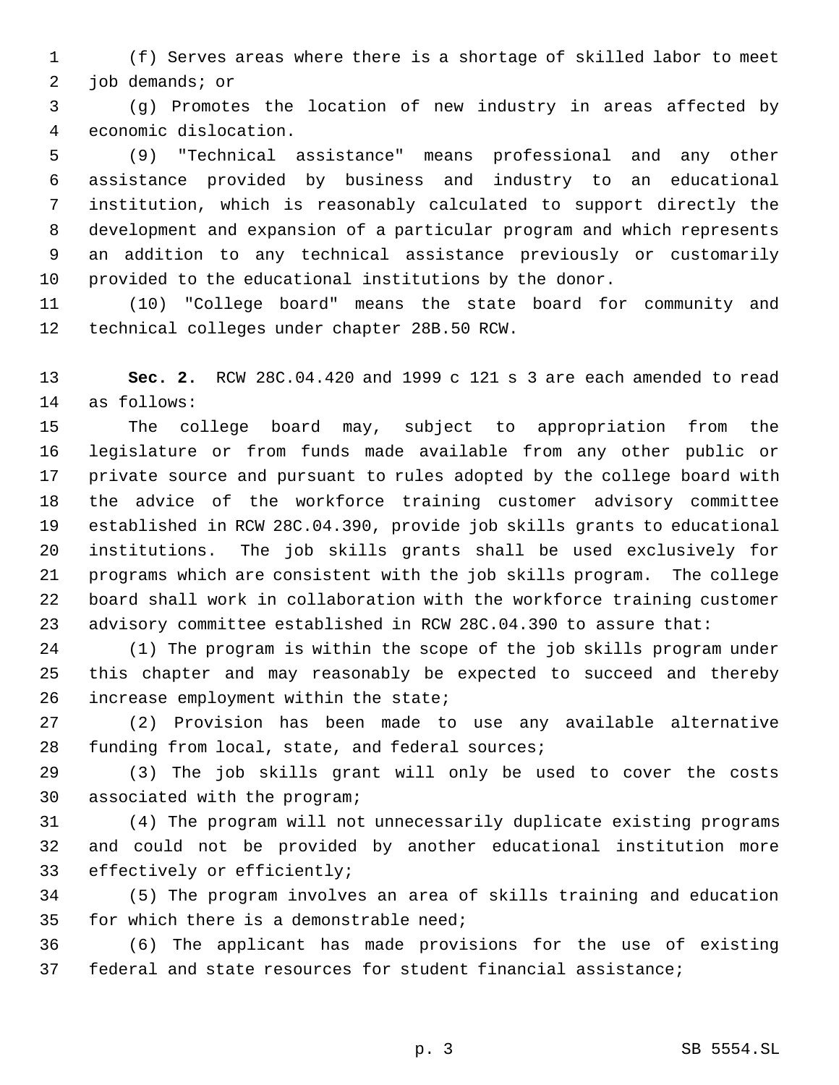(f) Serves areas where there is a shortage of skilled labor to meet job demands; or

 (g) Promotes the location of new industry in areas affected by economic dislocation.

 (9) "Technical assistance" means professional and any other assistance provided by business and industry to an educational institution, which is reasonably calculated to support directly the development and expansion of a particular program and which represents an addition to any technical assistance previously or customarily provided to the educational institutions by the donor.

 (10) "College board" means the state board for community and technical colleges under chapter 28B.50 RCW.

 **Sec. 2.** RCW 28C.04.420 and 1999 c 121 s 3 are each amended to read as follows:

 The college board may, subject to appropriation from the legislature or from funds made available from any other public or private source and pursuant to rules adopted by the college board with the advice of the workforce training customer advisory committee established in RCW 28C.04.390, provide job skills grants to educational institutions. The job skills grants shall be used exclusively for programs which are consistent with the job skills program. The college board shall work in collaboration with the workforce training customer advisory committee established in RCW 28C.04.390 to assure that:

 (1) The program is within the scope of the job skills program under this chapter and may reasonably be expected to succeed and thereby increase employment within the state;

 (2) Provision has been made to use any available alternative funding from local, state, and federal sources;

 (3) The job skills grant will only be used to cover the costs associated with the program;

 (4) The program will not unnecessarily duplicate existing programs and could not be provided by another educational institution more effectively or efficiently;

 (5) The program involves an area of skills training and education for which there is a demonstrable need;

 (6) The applicant has made provisions for the use of existing federal and state resources for student financial assistance;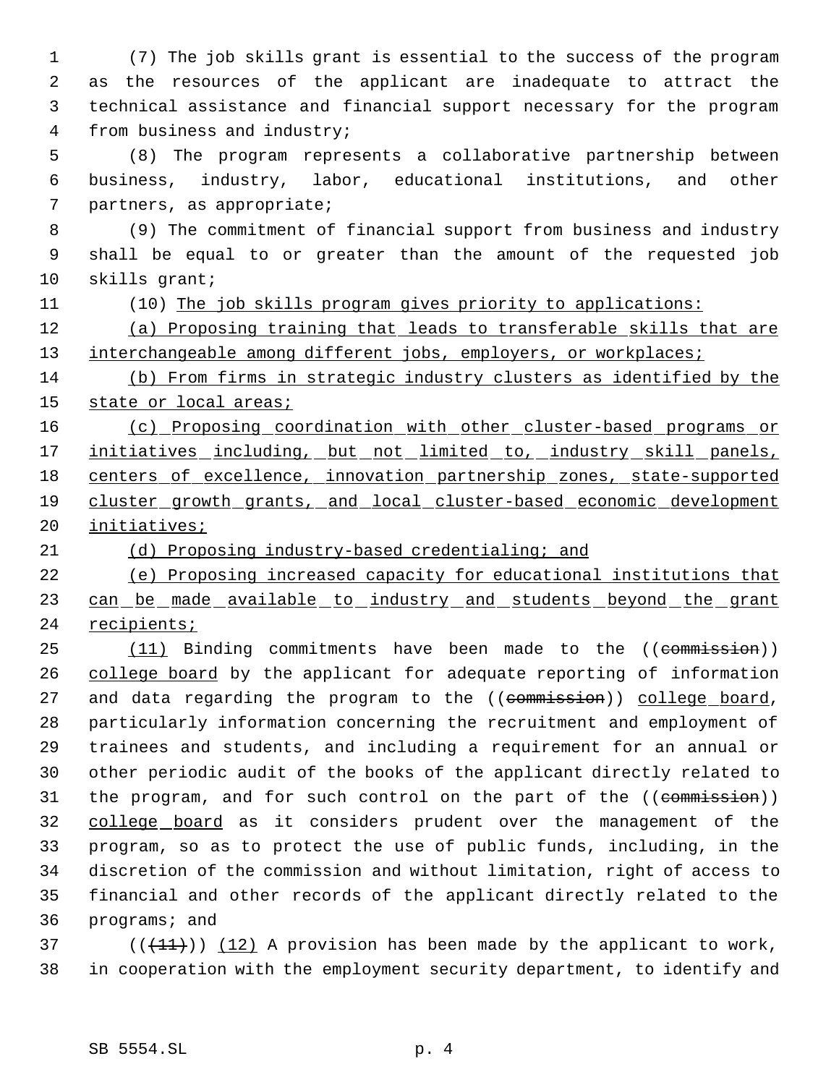(7) The job skills grant is essential to the success of the program as the resources of the applicant are inadequate to attract the technical assistance and financial support necessary for the program from business and industry;

 (8) The program represents a collaborative partnership between business, industry, labor, educational institutions, and other partners, as appropriate;

 (9) The commitment of financial support from business and industry shall be equal to or greater than the amount of the requested job skills grant;

(10) The job skills program gives priority to applications:

 (a) Proposing training that leads to transferable skills that are 13 interchangeable among different jobs, employers, or workplaces;

 (b) From firms in strategic industry clusters as identified by the 15 state or local areas;

 (c) Proposing coordination with other cluster-based programs or 17 initiatives including, but not limited to, industry skill panels, centers of excellence, innovation partnership zones, state-supported cluster growth grants, and local cluster-based economic development initiatives;

(d) Proposing industry-based credentialing; and

 (e) Proposing increased capacity for educational institutions that 23 can be made available to industry and students beyond the grant recipients;

25 (11) Binding commitments have been made to the ((commission)) 26 college board by the applicant for adequate reporting of information 27 and data regarding the program to the ((commission)) college board, particularly information concerning the recruitment and employment of trainees and students, and including a requirement for an annual or other periodic audit of the books of the applicant directly related to 31 the program, and for such control on the part of the ((commission)) college board as it considers prudent over the management of the program, so as to protect the use of public funds, including, in the discretion of the commission and without limitation, right of access to financial and other records of the applicant directly related to the programs; and

 $(11)$  (( $(11)$ )) (12) A provision has been made by the applicant to work, in cooperation with the employment security department, to identify and